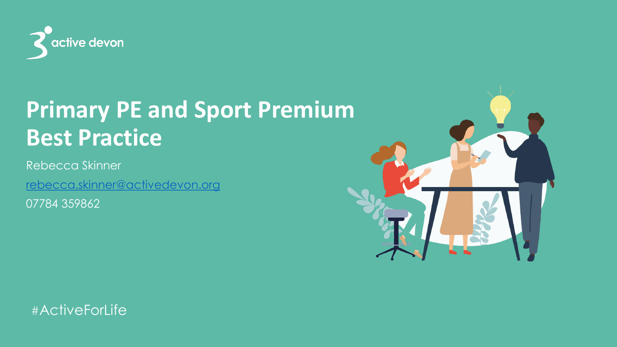

#### **Primary PE and Sport Premium Best Practice**

Rebecca Skinner

[rebecca.skinner@activedevon.org](mailto:rebecca.skinner@activedevon.org)

07784 359862

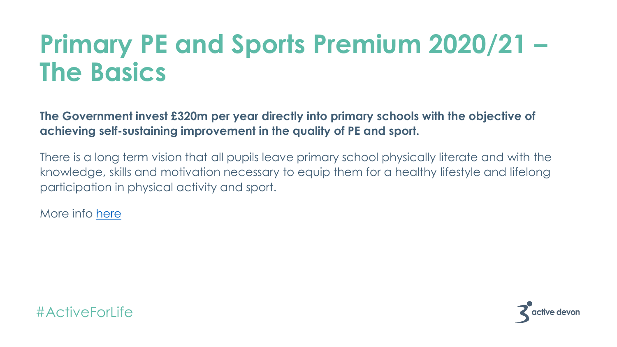#### **Primary PE and Sports Premium 2020/21 – The Basics**

**The Government invest £320m per year directly into primary schools with the objective of achieving self-sustaining improvement in the quality of PE and sport.**

There is a long term vision that all pupils leave primary school physically literate and with the knowledge, skills and motivation necessary to equip them for a healthy lifestyle and lifelong participation in physical activity and sport.

More info [here](https://www.afpe.org.uk/physical-education/advice-on-sport-premium/)

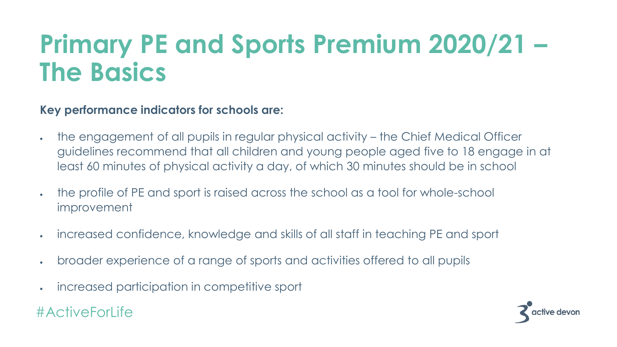#### **Primary PE and Sports Premium 2020/21 – The Basics**

**Key performance indicators for schools are:**

- the engagement of all pupils in regular physical activity the Chief Medical Officer guidelines recommend that all children and young people aged five to 18 engage in at least 60 minutes of physical activity a day, of which 30 minutes should be in school
- the profile of PE and sport is raised across the school as a tool for whole-school improvement
- increased confidence, knowledge and skills of all staff in teaching PE and sport
- broader experience of a range of sports and activities offered to all pupils
- increased participation in competitive sport

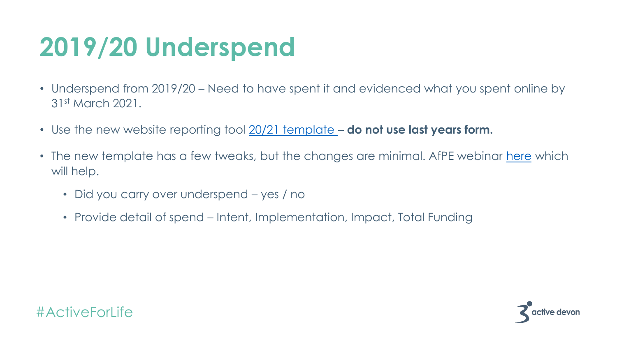### **2019/20 Underspend**

- Underspend from 2019/20 Need to have spent it and evidenced what you spent online by 31st March 2021.
- Use the new website reporting tool [20/21 template](https://www.afpe.org.uk/physical-education/wp-content/uploads/Evidencing-the-Impact-of-the-Primary-PE-and-Sport-Premium-Template-2020-Final.pdf)  **do not use last years form.**
- The new template has a few tweaks, but the changes are minimal. AfPE webinar [here](https://www.afpe.org.uk/physical-education/primary-pe-and-sport-premium-webinar-recording/) which will help.
	- Did you carry over underspend yes / no
	- Provide detail of spend Intent, Implementation, Impact, Total Funding



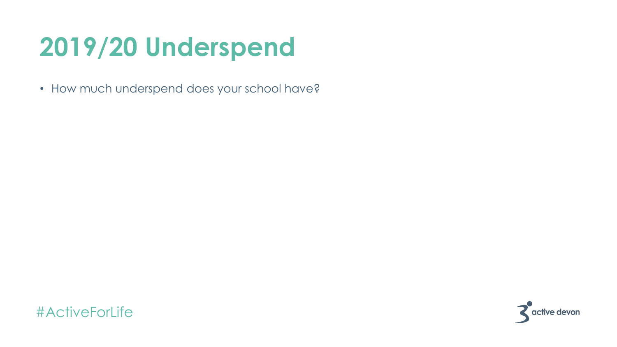### **2019/20 Underspend**

• How much underspend does your school have?



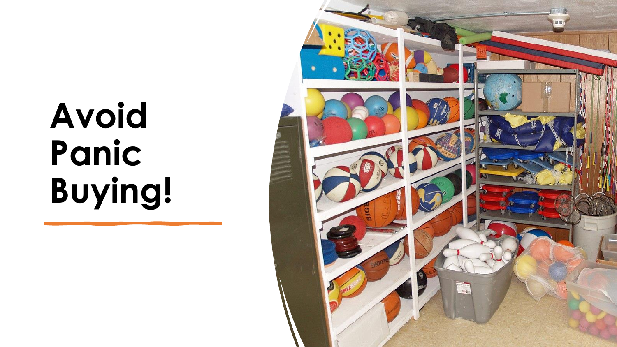# **Avoid Panic Buying!**

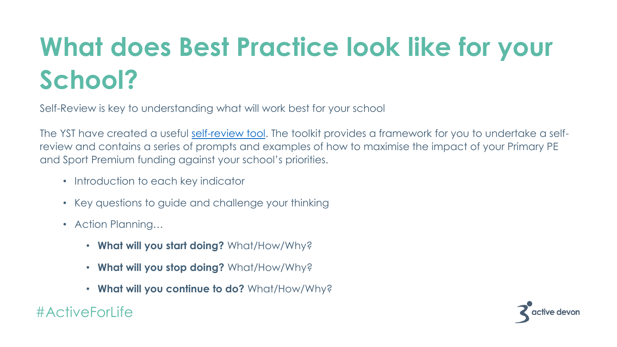# **What does Best Practice look like for your School?**

Self-Review is key to understanding what will work best for your school

The YST have created a useful [self-review tool](https://www.youthsporttrust.org/PE-sport-premium). The toolkit provides a framework for you to undertake a selfreview and contains a series of prompts and examples of how to maximise the impact of your Primary PE and Sport Premium funding against your school's priorities.

- Introduction to each key indicator
- Key questions to guide and challenge your thinking
- Action Planning…
	- **What will you start doing?** What/How/Why?
	- **What will you stop doing?** What/How/Why?
	- **What will you continue to do?** What/How/Why?

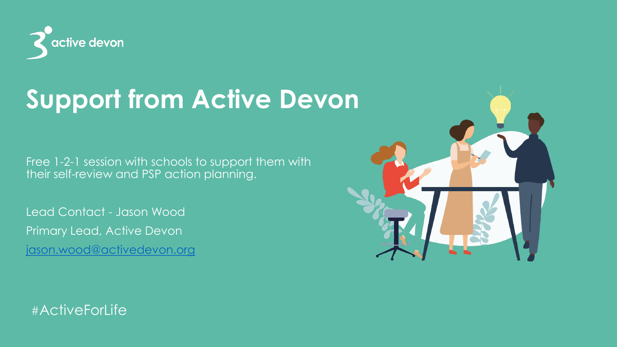

#### **Support from Active Devon**

Free 1-2-1 session with schools to support them with their self-review and PSP action planning.

Lead Contact - Jason Wood Primary Lead, Active Devon [jason.wood@activedevon.org](mailto:jason.wood@activedevon.org)

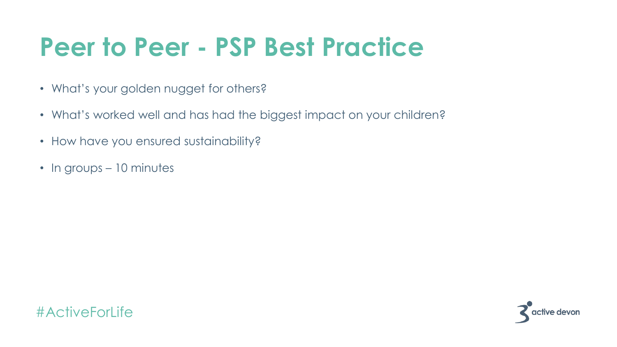#### **Peer to Peer - PSP Best Practice**

- What's your golden nugget for others?
- What's worked well and has had the biggest impact on your children?
- How have you ensured sustainability?
- In groups 10 minutes



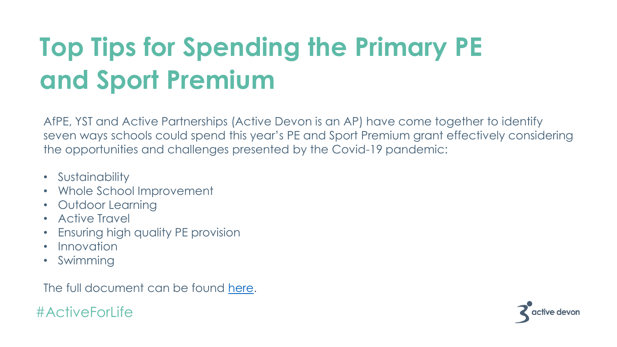## **Top Tips for Spending the Primary PE and Sport Premium**

AfPE, YST and Active Partnerships (Active Devon is an AP) have come together to identify seven ways schools could spend this year's PE and Sport Premium grant effectively considering the opportunities and challenges presented by the Covid-19 pandemic:

- Sustainability
- Whole School Improvement
- Outdoor Learning
- Active Travel
- Ensuring high quality PE provision
- Innovation
- Swimming

The full document can be found [here.](https://www.afpe.org.uk/physical-education/wp-content/uploads/Seven-Tips-for-Spending-the-Primary-PE-and-Sport-Premium-FINAL.pdf)

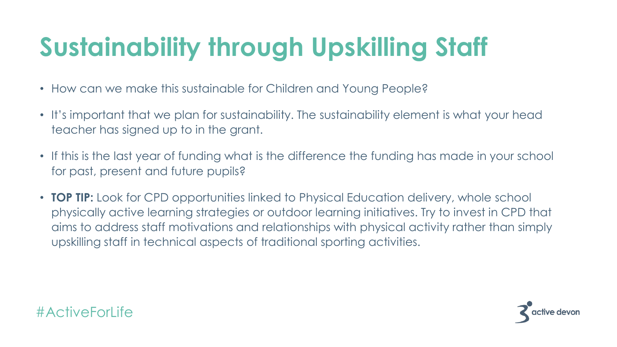# **Sustainability through Upskilling Staff**

- How can we make this sustainable for Children and Young People?
- It's important that we plan for sustainability. The sustainability element is what your head teacher has signed up to in the grant.
- If this is the last year of funding what is the difference the funding has made in your school for past, present and future pupils?
- **TOP TIP:** Look for CPD opportunities linked to Physical Education delivery, whole school physically active learning strategies or outdoor learning initiatives. Try to invest in CPD that aims to address staff motivations and relationships with physical activity rather than simply upskilling staff in technical aspects of traditional sporting activities.

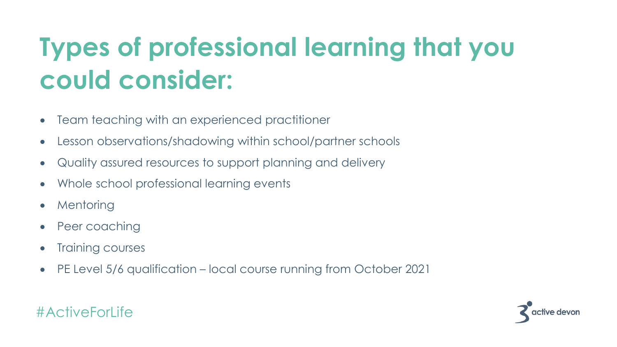## **Types of professional learning that you could consider:**

- Team teaching with an experienced practitioner
- Lesson observations/shadowing within school/partner schools
- Quality assured resources to support planning and delivery
- Whole school professional learning events
- **Mentoring**
- Peer coaching
- Training courses
- PE Level 5/6 qualification local course running from October 2021



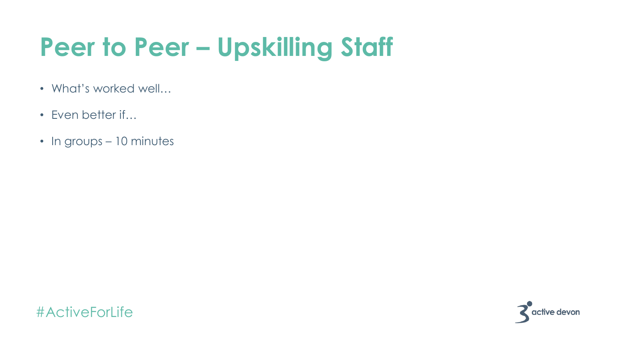#### **Peer to Peer – Upskilling Staff**

- What's worked well…
- Even better if...
- In groups 10 minutes



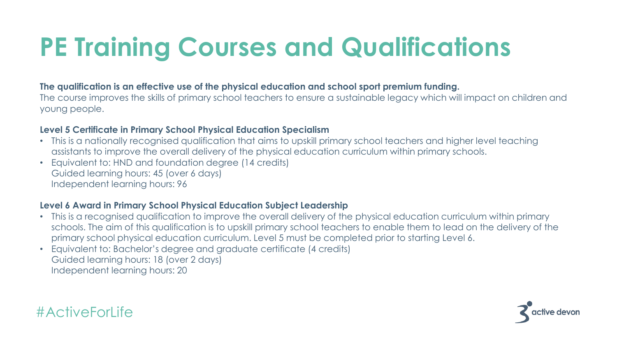### **PE Training Courses and Qualifications**

#### **The qualification is an effective use of the physical education and school sport premium funding.**

The course improves the skills of primary school teachers to ensure a sustainable legacy which will impact on children and young people.

#### **Level 5 Certificate in Primary School Physical Education Specialism**

- This is a nationally recognised qualification that aims to upskill primary school teachers and higher level teaching assistants to improve the overall delivery of the physical education curriculum within primary schools.
- Equivalent to: HND and foundation degree (14 credits) Guided learning hours: 45 (over 6 days) Independent learning hours: 96

#### **Level 6 Award in Primary School Physical Education Subject Leadership**

- This is a recognised qualification to improve the overall delivery of the physical education curriculum within primary schools. The aim of this qualification is to upskill primary school teachers to enable them to lead on the delivery of the primary school physical education curriculum. Level 5 must be completed prior to starting Level 6.
- Equivalent to: Bachelor's degree and graduate certificate (4 credits) Guided learning hours: 18 (over 2 days) Independent learning hours: 20



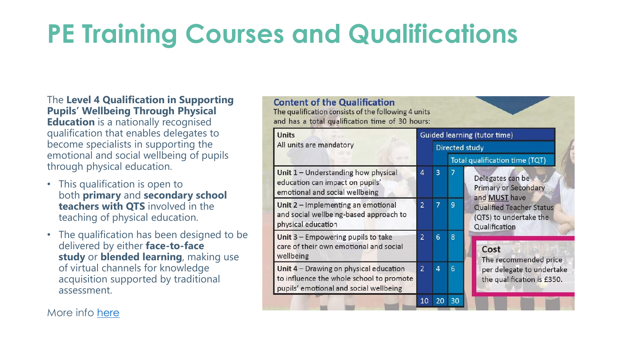### **PE Training Courses and Qualifications**

The **Level 4 Qualification in Supporting Pupils' Wellbeing Through Physical Education** is a nationally recognised qualification that enables delegates to become specialists in supporting the emotional and social wellbeing of pupils through physical education.

- This qualification is open to both **primary** and **secondary school teachers with QTS** involved in the teaching of physical education.
- The qualification has been designed to be delivered by either **face-to-face study** or **blended learning**, making use of virtual channels for knowledge acquisition supported by traditional assessment.

|  | <b>Units</b><br>All units are mandatory                                                                                      |                | Guided learning (tutor time)<br><b>Directed study</b> |                |                                                                                                                                                |
|--|------------------------------------------------------------------------------------------------------------------------------|----------------|-------------------------------------------------------|----------------|------------------------------------------------------------------------------------------------------------------------------------------------|
|  |                                                                                                                              |                | <b>Total qualification time (TQT)</b>                 |                |                                                                                                                                                |
|  | Unit 1 - Understanding how physical<br>education can impact on pupils'<br>emotional and social wellbeing                     | 4              | 3                                                     | $\overline{7}$ | Delegates can be<br><b>Primary or Secondary</b><br>and MUST have<br><b>Qualified Teacher Status</b><br>(QTS) to undertake the<br>Qualification |
|  | Unit 2 - Implementing an emotional<br>and social wellbeing-based approach to<br>physical education                           | $\overline{2}$ | $\overline{7}$                                        | 9              |                                                                                                                                                |
|  | Unit 3 - Empowering pupils to take<br>care of their own emotional and social<br>wellbeing                                    | $\overline{2}$ | 6                                                     | 8              | Cost<br>The recommended price<br>per delegate to undertake<br>the qualification is £350.                                                       |
|  | Unit 4 - Drawing on physical education<br>to influence the whole school to promote<br>pupils' emotional and social wellbeing | $\overline{2}$ | 4                                                     | 6              |                                                                                                                                                |
|  |                                                                                                                              | 10             | 20                                                    | 30             |                                                                                                                                                |

More info here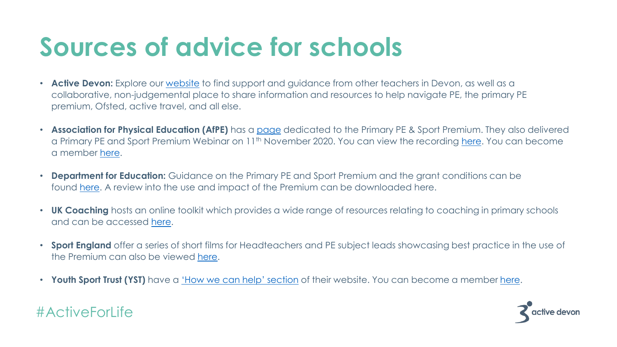#### **Sources of advice for schools**

- **Active Devon:** Explore our [website](https://www.activedevon.org/activeschools/) to find support and guidance from other teachers in Devon, as well as a collaborative, non-judgemental place to share information and resources to help navigate PE, the primary PE premium, Ofsted, active travel, and all else.
- **Association for Physical Education (AfPE)** has a [page](http://www.afpe.org.uk/physical-education/advice-on-sport-premium/) dedicated to the Primary PE & Sport Premium. They also delivered a Primary PE and Sport Premium Webinar on 11th November 2020. You can view the recording [here](https://www.afpe.org.uk/physical-education/primary-pe-and-sport-premium-webinar-recording/). You can become a member [here.](https://www.afpe.org.uk/physical-education/membership-plans/)
- **Department for Education:** Guidance on the Primary PE and Sport Premium and the grant conditions can be found [here.](https://www.gov.uk/guidance/pe-and-sport-premium-for-primary-schools) A review into the use and impact of the Premium can be downloaded here.
- **UK Coaching** hosts an online toolkit which provides a wide range of resources relating to coaching in primary schools and can be accessed [here](http://www.sportscoachuk.org/site-tools/about-uk-coaching/coaching-schools-portal).
- **Sport England** offer a series of short films for Headteachers and PE subject leads showcasing best practice in the use of the Premium can also be viewed [here](http://www.sportengland.org/our-work/children-and-young-people/primary-school-sport/).
- **Youth Sport Trust (YST)** have a ['How we can help' section](https://www.youthsporttrust.org/PE-sport-premium) of their website. You can become a member [here](https://www.youthsporttrust.org/membership).

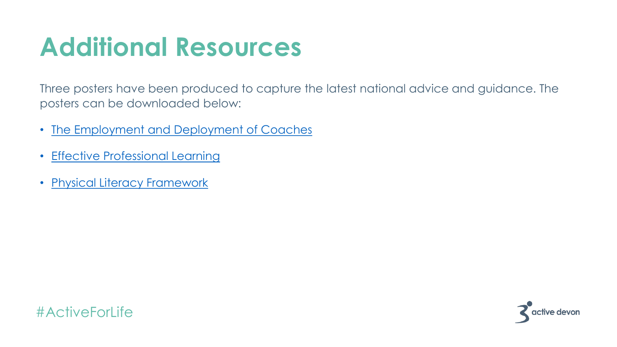#### **Additional Resources**

Three posters have been produced to capture the latest national advice and guidance. The posters can be downloaded below:

- [The Employment and Deployment of Coaches](http://www.cspnetwork.org/sites/default/files/The%20employment%20and%20deployment%20of%20coaches.pdf)
- [Effective Professional Learning](http://www.cspnetwork.org/sites/default/files/Effective%20Professional%20Learning%20.pdf)
- [Physical Literacy Framework](http://www.cspnetwork.org/sites/default/files/physical_literacy_framework.pdf)

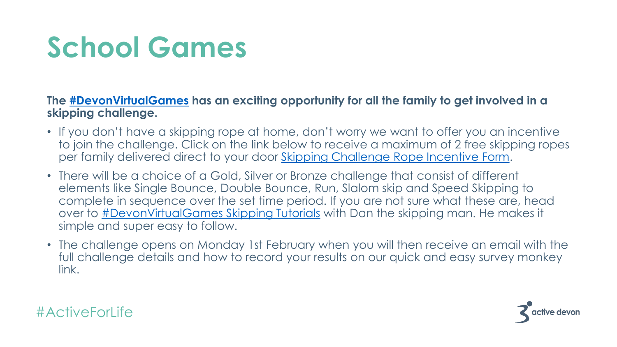# **School Games**

#### **The [#DevonVirtualGames](https://www.facebook.com/hashtag/devonvirtualgames?__eep__=6&__cft__%5b0%5d=AZXDEgJZ_qnS6jOQMo5MTN5rmgeTk4C5HQDSZhp3FzEABb1kyBqsbiGvOaix_WWuk9bgsdk58I7l3Ig41x3fAfkshHU__xbGjmCrmbr7yfVVNXnxbF-S0DDuXHGKfAqUyrJUHA17gYxSTfbZ8kZBJ6MaqsIfQ-Spk5YKZz207eKkMUYzl00qQYURj92Xkj7JKOqBAYIuW58GRj3WF90lhppfLB5zht6-52VTd0kgV4z3Xw&__tn__=-U-UK-R) has an exciting opportunity for all the family to get involved in a skipping challenge.**

- If you don't have a skipping rope at home, don't worry we want to offer you an incentive to join the challenge. Click on the link below to receive a maximum of 2 free skipping ropes per family delivered direct to your door [Skipping Challenge Rope Incentive Form.](https://www.surveymonkey.co.uk/r/DVGSkippingRopes?fbclid=IwAR2OkUw_19Zp2t8PSqFP_jfwLh4n4TCyB1zoha-rW5bXOF5uxF4D20SCtvI)
- There will be a choice of a Gold, Silver or Bronze challenge that consist of different elements like Single Bounce, Double Bounce, Run, Slalom skip and Speed Skipping to complete in sequence over the set time period. If you are not sure what these are, head over to **[#DevonVirtualGames Skipping Tutorials](https://l.facebook.com/l.php?u=https%3A%2F%2Fwww.youtube.com%2Fchannel%2FUCc2o9VYIBVkWtI-2_QMdIZg%2Fvideos%3Ffbclid%3DIwAR0Wk5ag3TPLTsqcKMO4_e3K_aSb-0BuTaYmuwzUIBjy7FZgT0CohPh2Pkw&h=AT2bG9XfJTUZV2gfPm8GVCa-XvrtHsQAFEZ2BRvxhtmKgV83VS2KqipVPe1dqdr9dGPpI-2r7H2MfepNnE9_o6gpCOzaOQTQ8DwJbGUD4qhFdrJpsjCtS_6zitOh2VS35fke&__tn__=-UK-R&c%5b0%5d=AT1wEGDDUknf1vGUBOB65_y7WrO94Glw0Zg7wVlKDOvriz1tOaGSgoNX-fUo_xFv7p1dF0hd0ripM7N3kbrpOq_8kJZLtoNb8IWNfLOWThVIm9ziSErfqbNinriqBtqMg77qERmj3fED82nksY8vWXUfA5oAIRI5MDyIJFFXQnsqlonzxtXyP-N0SMB_y5d3yq_-2aYzEhIdYS6B6RljiaWI0eMw4ncKOUAOSsApE7ZmjsCPBPp65uR23e30QAK5AlW7)** with Dan the skipping man. He makes it simple and super easy to follow.
- The challenge opens on Monday 1st February when you will then receive an email with the full challenge details and how to record your results on our quick and easy survey monkey link.